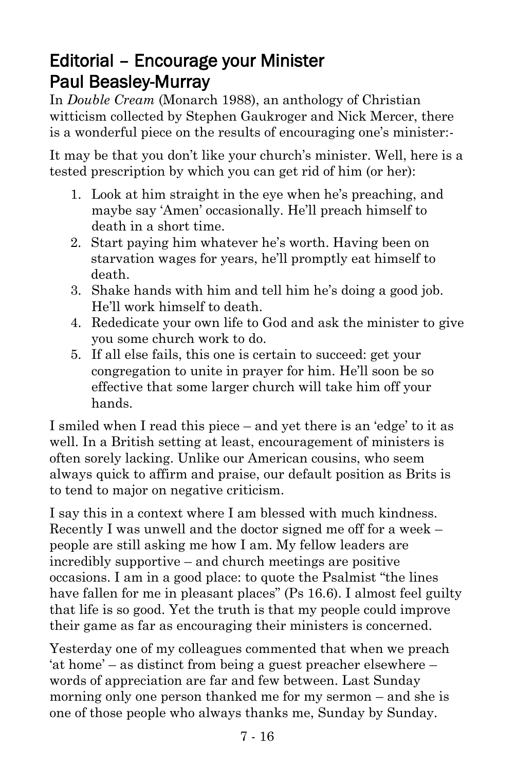## Editorial – Encourage your Minister Paul Beasley-Murray

In *Double Cream* (Monarch 1988), an anthology of Christian witticism collected by Stephen Gaukroger and Nick Mercer, there is a wonderful piece on the results of encouraging one's minister:-

It may be that you don't like your church's minister. Well, here is a tested prescription by which you can get rid of him (or her):

- 1. Look at him straight in the eye when he's preaching, and maybe say 'Amen' occasionally. He'll preach himself to death in a short time.
- 2. Start paying him whatever he's worth. Having been on starvation wages for years, he'll promptly eat himself to death.
- 3. Shake hands with him and tell him he's doing a good job. He'll work himself to death.
- 4. Rededicate your own life to God and ask the minister to give you some church work to do.
- 5. If all else fails, this one is certain to succeed: get your congregation to unite in prayer for him. He'll soon be so effective that some larger church will take him off your hands.

I smiled when I read this piece – and yet there is an 'edge' to it as well. In a British setting at least, encouragement of ministers is often sorely lacking. Unlike our American cousins, who seem always quick to affirm and praise, our default position as Brits is to tend to major on negative criticism.

I say this in a context where I am blessed with much kindness. Recently I was unwell and the doctor signed me off for a week – people are still asking me how I am. My fellow leaders are incredibly supportive – and church meetings are positive occasions. I am in a good place: to quote the Psalmist "the lines have fallen for me in pleasant places" (Ps 16.6). I almost feel guilty that life is so good. Yet the truth is that my people could improve their game as far as encouraging their ministers is concerned.

Yesterday one of my colleagues commented that when we preach 'at home' – as distinct from being a guest preacher elsewhere – words of appreciation are far and few between. Last Sunday morning only one person thanked me for my sermon – and she is one of those people who always thanks me, Sunday by Sunday.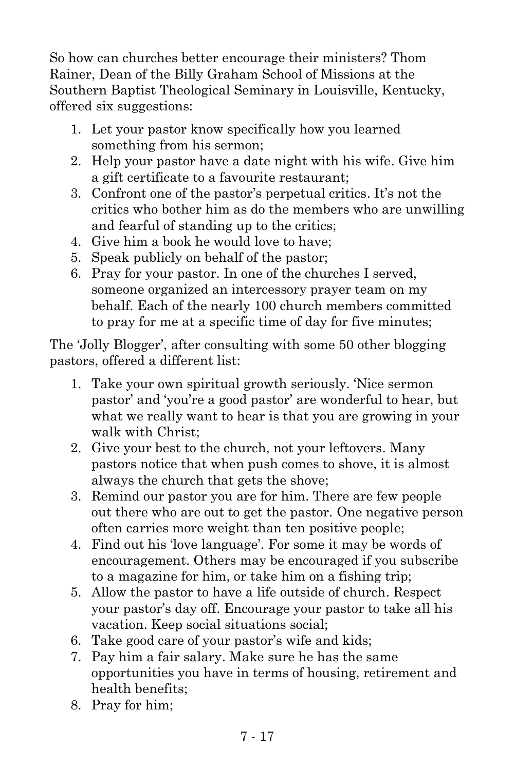So how can churches better encourage their ministers? Thom Rainer, Dean of the Billy Graham School of Missions at the Southern Baptist Theological Seminary in Louisville, Kentucky, offered six suggestions:

- 1. Let your pastor know specifically how you learned something from his sermon;
- 2. Help your pastor have a date night with his wife. Give him a gift certificate to a favourite restaurant;
- 3. Confront one of the pastor's perpetual critics. It's not the critics who bother him as do the members who are unwilling and fearful of standing up to the critics;
- 4. Give him a book he would love to have;
- 5. Speak publicly on behalf of the pastor;
- 6. Pray for your pastor. In one of the churches I served, someone organized an intercessory prayer team on my behalf. Each of the nearly 100 church members committed to pray for me at a specific time of day for five minutes;

The 'Jolly Blogger', after consulting with some 50 other blogging pastors, offered a different list:

- 1. Take your own spiritual growth seriously. 'Nice sermon pastor' and 'you're a good pastor' are wonderful to hear, but what we really want to hear is that you are growing in your walk with Christ;
- 2. Give your best to the church, not your leftovers. Many pastors notice that when push comes to shove, it is almost always the church that gets the shove;
- 3. Remind our pastor you are for him. There are few people out there who are out to get the pastor. One negative person often carries more weight than ten positive people;
- 4. Find out his 'love language'. For some it may be words of encouragement. Others may be encouraged if you subscribe to a magazine for him, or take him on a fishing trip;
- 5. Allow the pastor to have a life outside of church. Respect your pastor's day off. Encourage your pastor to take all his vacation. Keep social situations social;
- 6. Take good care of your pastor's wife and kids;
- 7. Pay him a fair salary. Make sure he has the same opportunities you have in terms of housing, retirement and health benefits;
- 8. Pray for him;